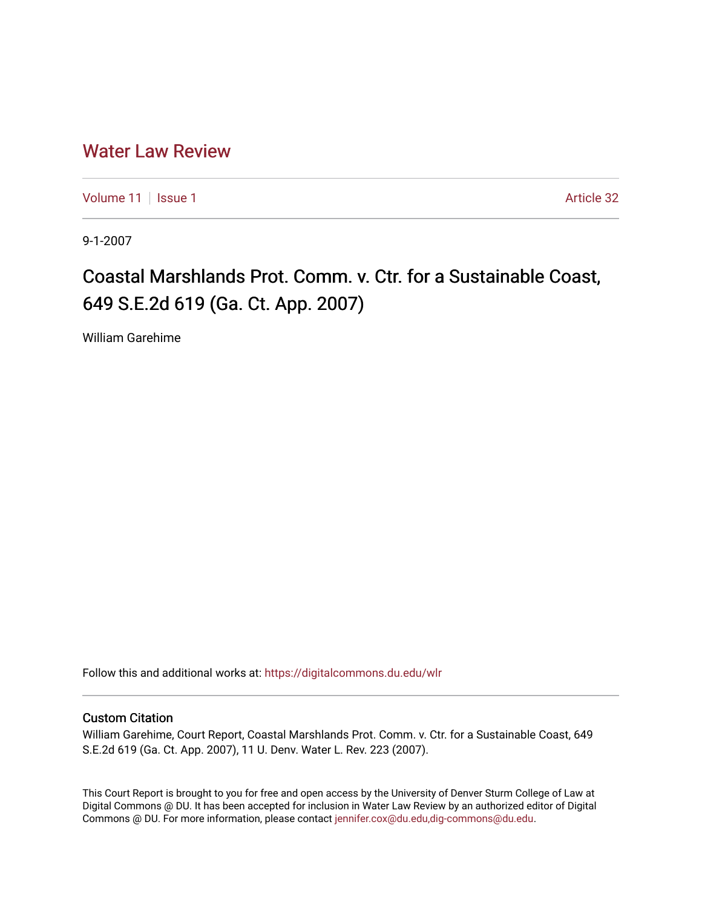# [Water Law Review](https://digitalcommons.du.edu/wlr)

[Volume 11](https://digitalcommons.du.edu/wlr/vol11) | [Issue 1](https://digitalcommons.du.edu/wlr/vol11/iss1) Article 32

9-1-2007

# Coastal Marshlands Prot. Comm. v. Ctr. for a Sustainable Coast, 649 S.E.2d 619 (Ga. Ct. App. 2007)

William Garehime

Follow this and additional works at: [https://digitalcommons.du.edu/wlr](https://digitalcommons.du.edu/wlr?utm_source=digitalcommons.du.edu%2Fwlr%2Fvol11%2Fiss1%2F32&utm_medium=PDF&utm_campaign=PDFCoverPages) 

## Custom Citation

William Garehime, Court Report, Coastal Marshlands Prot. Comm. v. Ctr. for a Sustainable Coast, 649 S.E.2d 619 (Ga. Ct. App. 2007), 11 U. Denv. Water L. Rev. 223 (2007).

This Court Report is brought to you for free and open access by the University of Denver Sturm College of Law at Digital Commons @ DU. It has been accepted for inclusion in Water Law Review by an authorized editor of Digital Commons @ DU. For more information, please contact [jennifer.cox@du.edu,dig-commons@du.edu.](mailto:jennifer.cox@du.edu,dig-commons@du.edu)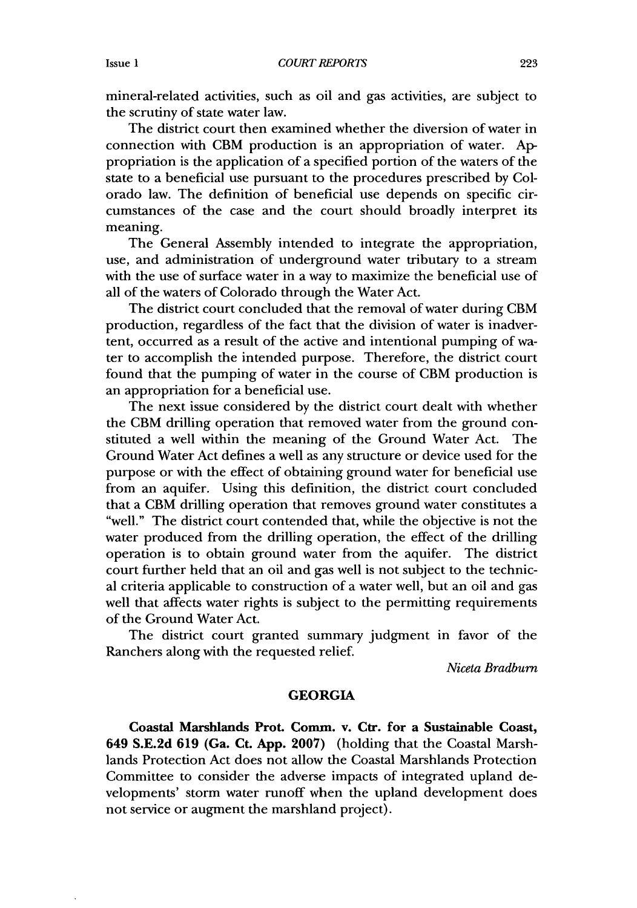mineral-related activities, such as oil and gas activities, are subject to the scrutiny of state water law.

The district court then examined whether the diversion of water in connection with CBM production is an appropriation of water. Appropriation is the application of a specified portion of the waters of the state to a beneficial use pursuant to the procedures prescribed by Colorado law. The definition of beneficial use depends on specific circumstances of the case and the court should broadly interpret its meaning.

The General Assembly intended to integrate the appropriation, use, and administration of underground water tributary to a stream with the use of surface water in a way to maximize the beneficial use of all of the waters of Colorado through the Water Act.

The district court concluded that the removal of water during CBM production, regardless of the fact that the division of water is inadvertent, occurred as a result of the active and intentional pumping of water to accomplish the intended purpose. Therefore, the district court found that the pumping of water in the course of CBM production is an appropriation for a beneficial use.

The next issue considered by the district court dealt with whether the CBM drilling operation that removed water from the ground constituted a well within the meaning of the Ground Water Act. The Ground Water Act defines a well as any structure or device used for the purpose or with the effect of obtaining ground water for beneficial use from an aquifer. Using this definition, the district court concluded that a CBM drilling operation that removes ground water constitutes a "well." The district court contended that, while the objective is not the water produced from the drilling operation, the effect of the drilling operation is to obtain ground water from the aquifer. The district court further held that an oil and gas well is not subject to the technical criteria applicable to construction of a water well, but an oil and gas well that affects water rights is subject to the permitting requirements of the Ground Water Act.

The district court granted summary judgment in favor of the Ranchers along with the requested relief.

*Niceta Bradbum*

### **GEORGIA**

Coastal Marshlands Prot. Comm. v. Ctr. for a Sustainable Coast, 649 **S.E.2d 619** (Ga. Ct. **App. 2007)** (holding that the Coastal Marshlands Protection Act does not allow the Coastal Marshlands Protection Committee to consider the adverse impacts of integrated upland developments' storm water runoff when the upland development does not service or augment the marshland project).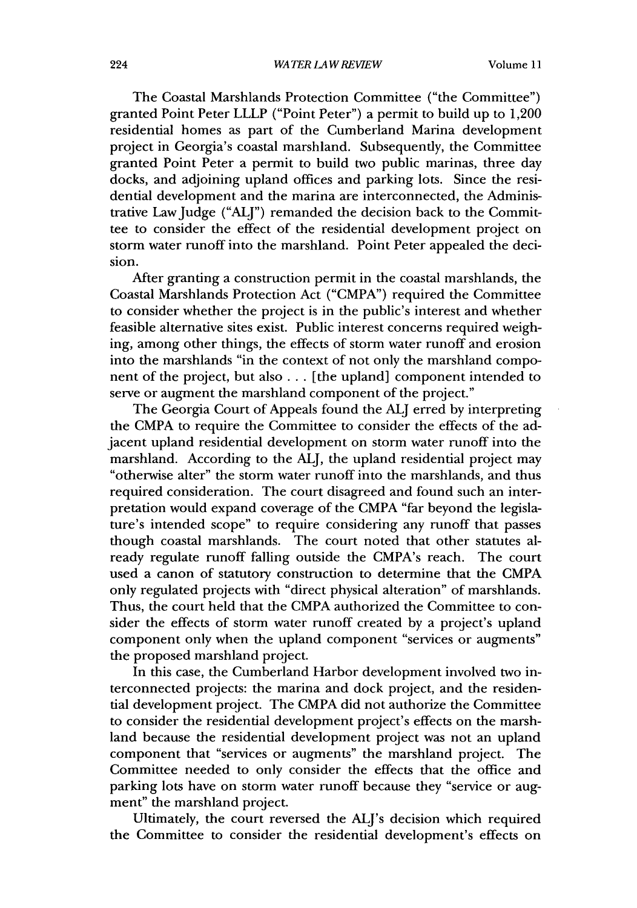The Coastal Marshlands Protection Committee ("the Committee") granted Point Peter LLLP ("Point Peter") a permit to build up to 1,200 residential homes as part of the Cumberland Marina development project in Georgia's coastal marshland. Subsequently, the Committee granted Point Peter a permit to build two public marinas, three day docks, and adjoining upland offices and parking lots. Since the residential development and the marina are interconnected, the Administrative Law Judge ("ALJ") remanded the decision back to the Committee to consider the effect of the residential development project on storm water runoff into the marshland. Point Peter appealed the decision.

After granting a construction permit in the coastal marshlands, the Coastal Marshlands Protection Act ("CMPA") required the Committee to consider whether the project is in the public's interest and whether feasible alternative sites exist. Public interest concerns required weighing, among other things, the effects of storm water runoff and erosion into the marshlands "in the context of not only the marshland component of the project, but also... [the upland] component intended to serve or augment the marshland component of the project."

The Georgia Court of Appeals found the **ALJ** erred by interpreting the CMPA to require the Committee to consider the effects of the adjacent upland residential development on storm water runoff into the marshland. According to the ALI, the upland residential project may "otherwise alter" the storm water runoff into the marshlands, and thus required consideration. The court disagreed and found such an interpretation would expand coverage of the CMPA "far beyond the legislature's intended scope" to require considering any runoff that passes though coastal marshlands. The court noted that other statutes already regulate runoff falling outside the CMPA's reach. The court used a canon of statutory construction to determine that the CMPA only regulated projects with "direct physical alteration" of marshlands. Thus, the court held that the CMPA authorized the Committee to consider the effects of storm water runoff created by a project's upland component only when the upland component "services or augments" the proposed marshland project.

In this case, the Cumberland Harbor development involved two interconnected projects: the marina and dock project, and the residential development project. The CMPA did not authorize the Committee to consider the residential development project's effects on the marshland because the residential development project was not an upland component that "services or augments" the marshland project. The Committee needed to only consider the effects that the office and parking lots have on storm water runoff because they "service or augment" the marshland project.

Ultimately, the court reversed the ALJ's decision which required the Committee to consider the residential development's effects on